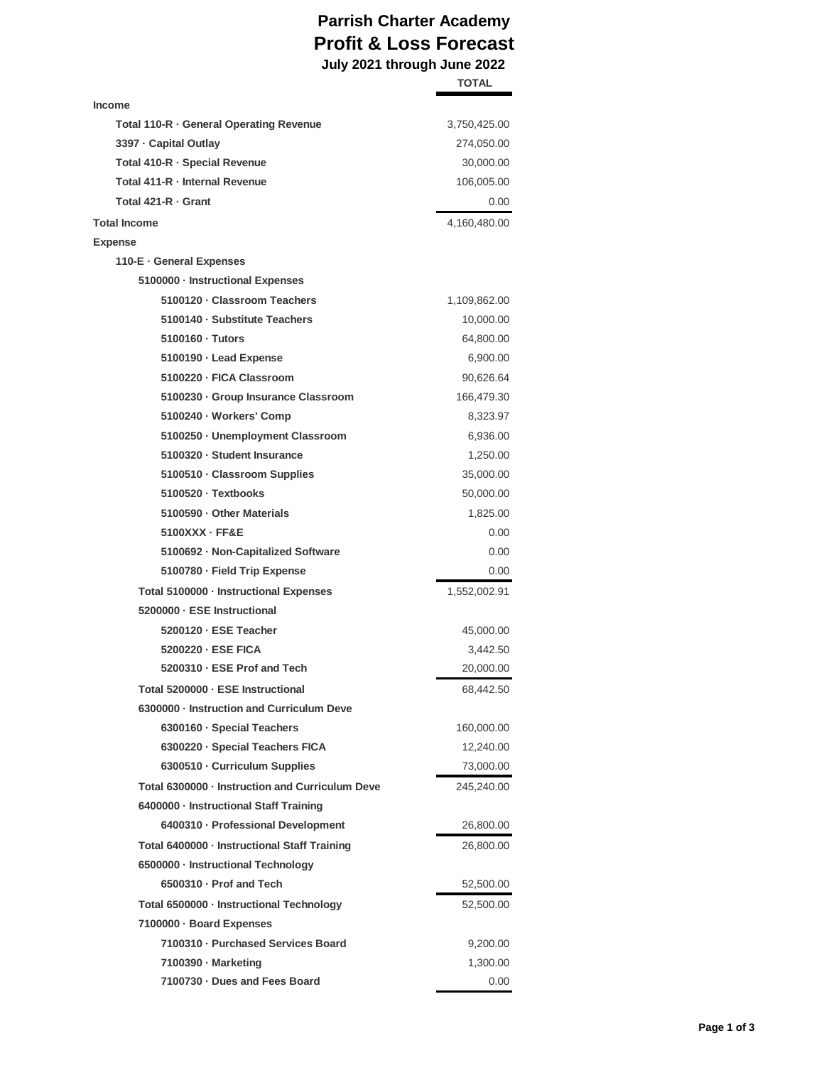## **Parrish Charter Academy Profit & Loss Forecast July 2021 through June 2022**

|                                                 | <b>TOTAL</b> |
|-------------------------------------------------|--------------|
| Income                                          |              |
| Total 110-R · General Operating Revenue         | 3,750,425.00 |
| 3397 - Capital Outlay                           | 274,050.00   |
| Total 410-R · Special Revenue                   | 30,000.00    |
| Total 411-R - Internal Revenue                  | 106,005.00   |
| Total 421-R · Grant                             | 0.00         |
| Total Income                                    | 4,160,480.00 |
| Expense                                         |              |
| 110-E · General Expenses                        |              |
| 5100000 · Instructional Expenses                |              |
| 5100120 · Classroom Teachers                    | 1,109,862.00 |
| 5100140 · Substitute Teachers                   | 10,000.00    |
| 5100160 · Tutors                                | 64,800.00    |
| 5100190 · Lead Expense                          | 6,900.00     |
| 5100220 · FICA Classroom                        | 90,626.64    |
| 5100230 · Group Insurance Classroom             | 166,479.30   |
| 5100240 · Workers' Comp                         | 8,323.97     |
| 5100250 · Unemployment Classroom                | 6,936.00     |
| 5100320 · Student Insurance                     | 1,250.00     |
| 5100510 · Classroom Supplies                    | 35,000.00    |
| 5100520 · Textbooks                             | 50,000.00    |
| 5100590 · Other Materials                       | 1,825.00     |
| $5100XXX \cdot FFE$                             | 0.00         |
| 5100692 · Non-Capitalized Software              | 0.00         |
| 5100780 · Field Trip Expense                    | 0.00         |
| Total 5100000 · Instructional Expenses          | 1,552,002.91 |
| 5200000 - ESE Instructional                     |              |
| 5200120 - ESE Teacher                           | 45,000.00    |
| 5200220 · ESE FICA                              | 3,442.50     |
| 5200310 · ESE Prof and Tech                     | 20,000.00    |
| Total 5200000 · ESE Instructional               | 68,442.50    |
| 6300000 · Instruction and Curriculum Deve       |              |
| 6300160 · Special Teachers                      | 160,000.00   |
| 6300220 · Special Teachers FICA                 | 12,240.00    |
| 6300510 · Curriculum Supplies                   | 73,000.00    |
| Total 6300000 - Instruction and Curriculum Deve | 245,240.00   |
| 6400000 · Instructional Staff Training          |              |
| 6400310 · Professional Development              | 26,800.00    |
| Total 6400000 - Instructional Staff Training    | 26,800.00    |
| 6500000 · Instructional Technology              |              |
| 6500310 · Prof and Tech                         | 52,500.00    |
| Total 6500000 · Instructional Technology        | 52,500.00    |
| 7100000 · Board Expenses                        |              |
| 7100310 · Purchased Services Board              | 9,200.00     |
| 7100390 · Marketing                             | 1,300.00     |
| 7100730 · Dues and Fees Board                   | 0.00         |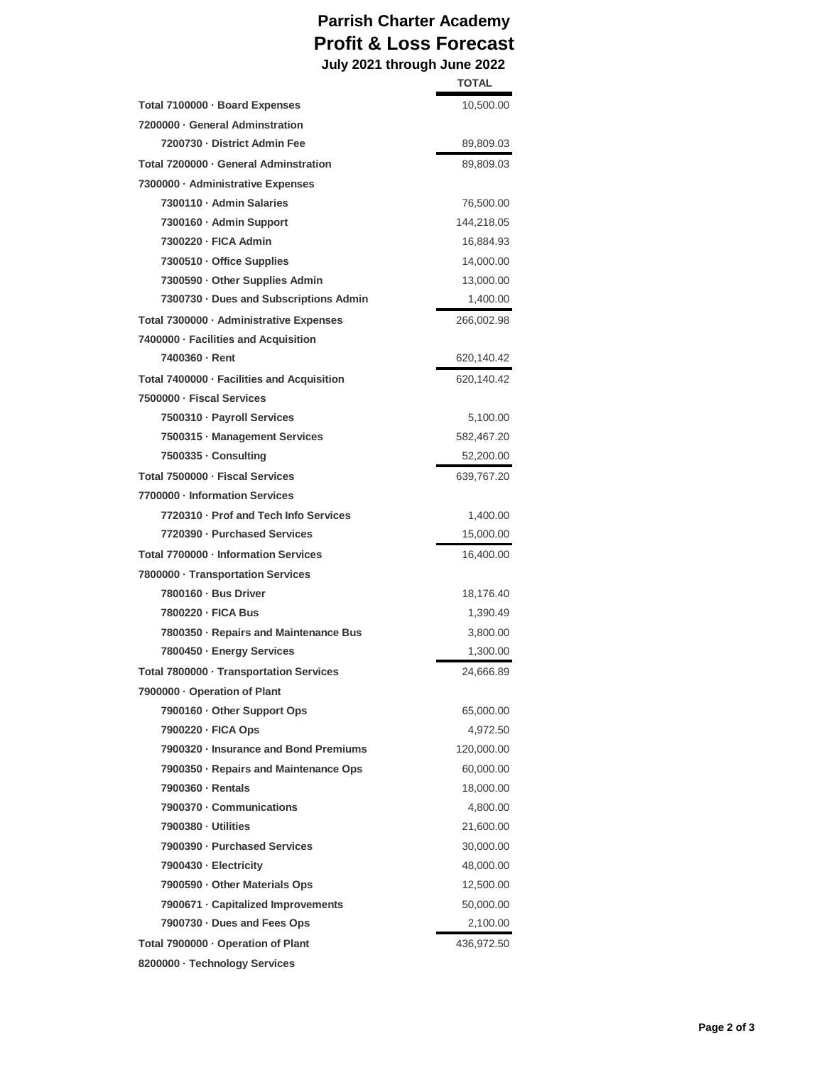## **Parrish Charter Academy Profit & Loss Forecast July 2021 through June 2022**

|                                            | <b>TOTAL</b> |
|--------------------------------------------|--------------|
| Total 7100000 · Board Expenses             | 10,500.00    |
| 7200000 · General Adminstration            |              |
| 7200730 · District Admin Fee               | 89,809.03    |
| Total 7200000 · General Adminstration      | 89,809.03    |
| 7300000 - Administrative Expenses          |              |
| 7300110 · Admin Salaries                   | 76,500.00    |
| 7300160 · Admin Support                    | 144,218.05   |
| 7300220 - FICA Admin                       | 16,884.93    |
| 7300510 · Office Supplies                  | 14,000.00    |
| 7300590 · Other Supplies Admin             | 13,000.00    |
| 7300730 · Dues and Subscriptions Admin     | 1,400.00     |
| Total 7300000 · Administrative Expenses    | 266,002.98   |
| 7400000 - Facilities and Acquisition       |              |
| 7400360 - Rent                             | 620,140.42   |
| Total 7400000 · Facilities and Acquisition | 620,140.42   |
| 7500000 - Fiscal Services                  |              |
| 7500310 · Payroll Services                 | 5,100.00     |
| 7500315 · Management Services              | 582,467.20   |
| 7500335 · Consulting                       | 52,200.00    |
| Total 7500000 - Fiscal Services            | 639,767.20   |
| 7700000 · Information Services             |              |
| 7720310 · Prof and Tech Info Services      | 1,400.00     |
| 7720390 - Purchased Services               | 15,000.00    |
| Total 7700000 - Information Services       | 16,400.00    |
| 7800000 · Transportation Services          |              |
| 7800160 · Bus Driver                       | 18,176.40    |
| 7800220 - FICA Bus                         | 1,390.49     |
| 7800350 · Repairs and Maintenance Bus      | 3,800.00     |
| 7800450 · Energy Services                  | 1,300.00     |
| Total 7800000 · Transportation Services    | 24,666.89    |
| 7900000 - Operation of Plant               |              |
| 7900160 · Other Support Ops                | 65,000.00    |
| 7900220 · FICA Ops                         | 4,972.50     |
| 7900320 · Insurance and Bond Premiums      | 120,000.00   |
| 7900350 · Repairs and Maintenance Ops      | 60,000.00    |
| 7900360 - Rentals                          | 18,000.00    |
| 7900370 · Communications                   | 4,800.00     |
| 7900380 - Utilities                        | 21,600.00    |
| 7900390 · Purchased Services               | 30,000.00    |
| 7900430 - Electricity                      | 48,000.00    |
| 7900590 · Other Materials Ops              | 12,500.00    |
| 7900671 · Capitalized Improvements         | 50,000.00    |
| 7900730 · Dues and Fees Ops                | 2,100.00     |
| Total 7900000 · Operation of Plant         | 436,972.50   |
| 8200000 · Technology Services              |              |